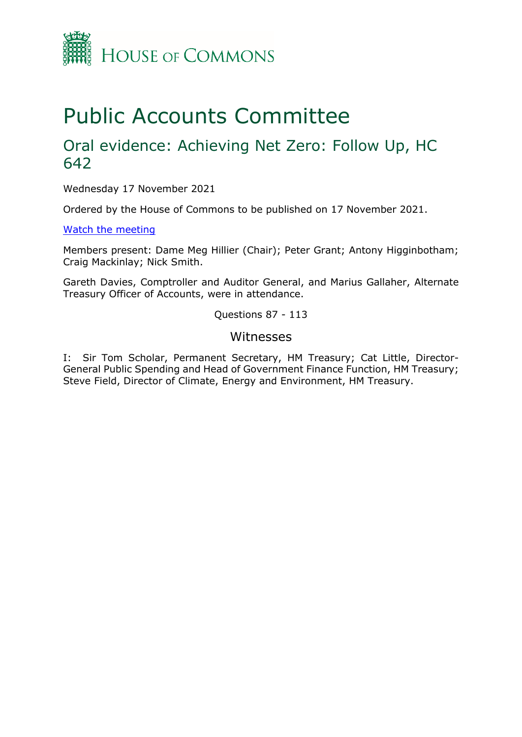

# Public Accounts Committee

## Oral evidence: Achieving Net Zero: Follow Up, HC 642

Wednesday 17 November 2021

Ordered by the House of Commons to be published on 17 November 2021.

[Watch the meeting](https://parliamentlive.tv/event/index/52b06a3c-0940-407c-8a2e-63aa6a3009ba?in=13:32:07)

Members present: Dame Meg Hillier (Chair); Peter Grant; Antony Higginbotham; Craig Mackinlay; Nick Smith.

Gareth Davies, Comptroller and Auditor General, and Marius Gallaher, Alternate Treasury Officer of Accounts, were in attendance.

Questions 87 - 113

#### Witnesses

I: Sir Tom Scholar, Permanent Secretary, HM Treasury; Cat Little, Director-General Public Spending and Head of Government Finance Function, HM Treasury; Steve Field, Director of Climate, Energy and Environment, HM Treasury.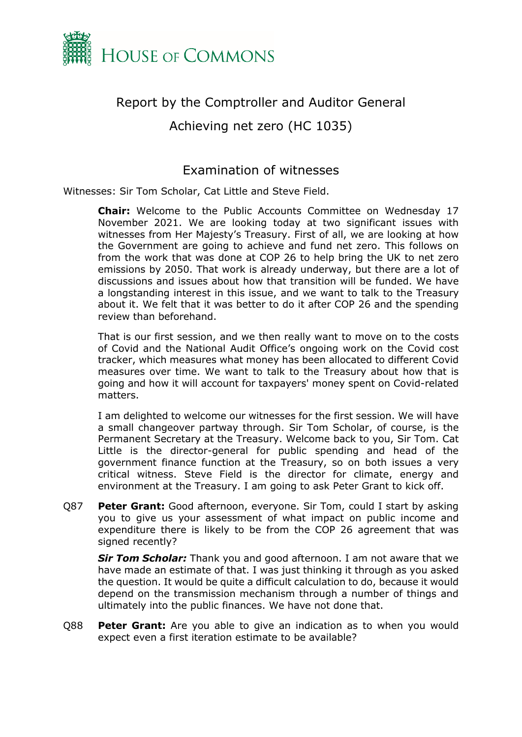

## Report by the Comptroller and Auditor General

Achieving net zero (HC 1035)

### Examination of witnesses

Witnesses: Sir Tom Scholar, Cat Little and Steve Field.

**Chair:** Welcome to the Public Accounts Committee on Wednesday 17 November 2021. We are looking today at two significant issues with witnesses from Her Majesty's Treasury. First of all, we are looking at how the Government are going to achieve and fund net zero. This follows on from the work that was done at COP 26 to help bring the UK to net zero emissions by 2050. That work is already underway, but there are a lot of discussions and issues about how that transition will be funded. We have a longstanding interest in this issue, and we want to talk to the Treasury about it. We felt that it was better to do it after COP 26 and the spending review than beforehand.

That is our first session, and we then really want to move on to the costs of Covid and the National Audit Office's ongoing work on the Covid cost tracker, which measures what money has been allocated to different Covid measures over time. We want to talk to the Treasury about how that is going and how it will account for taxpayers' money spent on Covid-related matters.

I am delighted to welcome our witnesses for the first session. We will have a small changeover partway through. Sir Tom Scholar, of course, is the Permanent Secretary at the Treasury. Welcome back to you, Sir Tom. Cat Little is the director-general for public spending and head of the government finance function at the Treasury, so on both issues a very critical witness. Steve Field is the director for climate, energy and environment at the Treasury. I am going to ask Peter Grant to kick off.

Q87 **Peter Grant:** Good afternoon, everyone. Sir Tom, could I start by asking you to give us your assessment of what impact on public income and expenditure there is likely to be from the COP 26 agreement that was signed recently?

**Sir Tom Scholar:** Thank you and good afternoon. I am not aware that we have made an estimate of that. I was just thinking it through as you asked the question. It would be quite a difficult calculation to do, because it would depend on the transmission mechanism through a number of things and ultimately into the public finances. We have not done that.

Q88 **Peter Grant:** Are you able to give an indication as to when you would expect even a first iteration estimate to be available?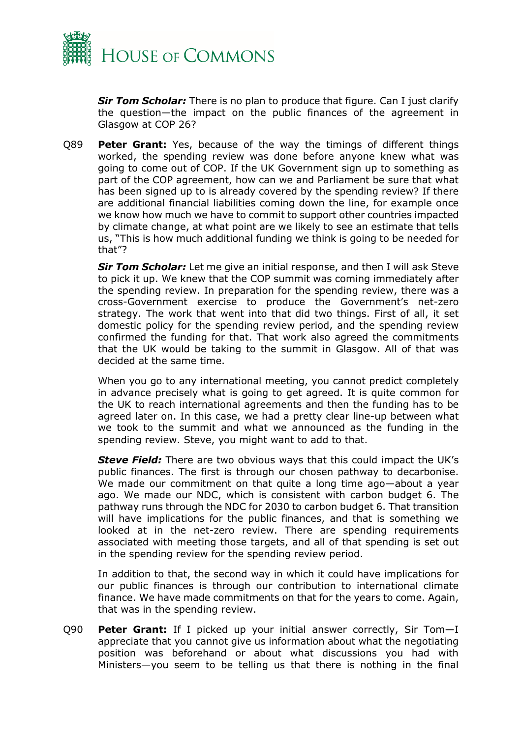

**Sir Tom Scholar:** There is no plan to produce that figure. Can I just clarify the question—the impact on the public finances of the agreement in Glasgow at COP 26?

Q89 **Peter Grant:** Yes, because of the way the timings of different things worked, the spending review was done before anyone knew what was going to come out of COP. If the UK Government sign up to something as part of the COP agreement, how can we and Parliament be sure that what has been signed up to is already covered by the spending review? If there are additional financial liabilities coming down the line, for example once we know how much we have to commit to support other countries impacted by climate change, at what point are we likely to see an estimate that tells us, "This is how much additional funding we think is going to be needed for that"?

*Sir Tom Scholar:* Let me give an initial response, and then I will ask Steve to pick it up. We knew that the COP summit was coming immediately after the spending review. In preparation for the spending review, there was a cross-Government exercise to produce the Government's net-zero strategy. The work that went into that did two things. First of all, it set domestic policy for the spending review period, and the spending review confirmed the funding for that. That work also agreed the commitments that the UK would be taking to the summit in Glasgow. All of that was decided at the same time.

When you go to any international meeting, you cannot predict completely in advance precisely what is going to get agreed. It is quite common for the UK to reach international agreements and then the funding has to be agreed later on. In this case, we had a pretty clear line-up between what we took to the summit and what we announced as the funding in the spending review. Steve, you might want to add to that.

*Steve Field:* There are two obvious ways that this could impact the UK's public finances. The first is through our chosen pathway to decarbonise. We made our commitment on that quite a long time ago-about a year ago. We made our NDC, which is consistent with carbon budget 6. The pathway runs through the NDC for 2030 to carbon budget 6. That transition will have implications for the public finances, and that is something we looked at in the net-zero review. There are spending requirements associated with meeting those targets, and all of that spending is set out in the spending review for the spending review period.

In addition to that, the second way in which it could have implications for our public finances is through our contribution to international climate finance. We have made commitments on that for the years to come. Again, that was in the spending review.

Q90 **Peter Grant:** If I picked up your initial answer correctly, Sir Tom—I appreciate that you cannot give us information about what the negotiating position was beforehand or about what discussions you had with Ministers—you seem to be telling us that there is nothing in the final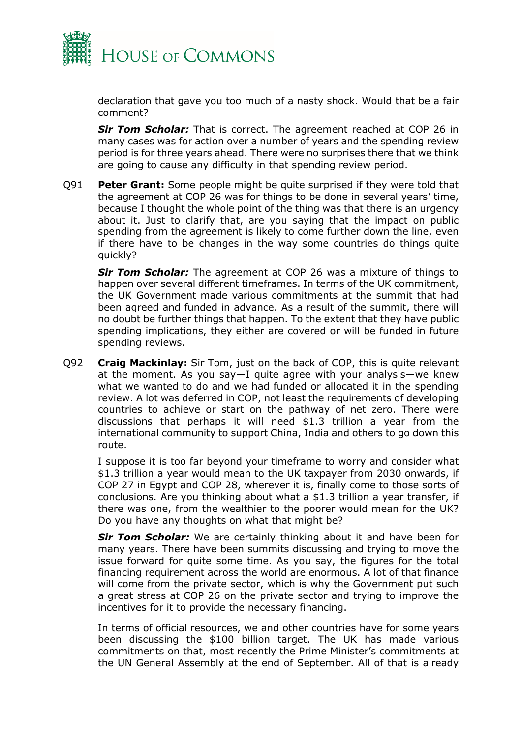

declaration that gave you too much of a nasty shock. Would that be a fair comment?

*Sir Tom Scholar:* That is correct. The agreement reached at COP 26 in many cases was for action over a number of years and the spending review period is for three years ahead. There were no surprises there that we think are going to cause any difficulty in that spending review period.

Q91 **Peter Grant:** Some people might be quite surprised if they were told that the agreement at COP 26 was for things to be done in several years' time, because I thought the whole point of the thing was that there is an urgency about it. Just to clarify that, are you saying that the impact on public spending from the agreement is likely to come further down the line, even if there have to be changes in the way some countries do things quite quickly?

**Sir Tom Scholar:** The agreement at COP 26 was a mixture of things to happen over several different timeframes. In terms of the UK commitment, the UK Government made various commitments at the summit that had been agreed and funded in advance. As a result of the summit, there will no doubt be further things that happen. To the extent that they have public spending implications, they either are covered or will be funded in future spending reviews.

Q92 **Craig Mackinlay:** Sir Tom, just on the back of COP, this is quite relevant at the moment. As you say—I quite agree with your analysis—we knew what we wanted to do and we had funded or allocated it in the spending review. A lot was deferred in COP, not least the requirements of developing countries to achieve or start on the pathway of net zero. There were discussions that perhaps it will need \$1.3 trillion a year from the international community to support China, India and others to go down this route.

I suppose it is too far beyond your timeframe to worry and consider what \$1.3 trillion a year would mean to the UK taxpayer from 2030 onwards, if COP 27 in Egypt and COP 28, wherever it is, finally come to those sorts of conclusions. Are you thinking about what a \$1.3 trillion a year transfer, if there was one, from the wealthier to the poorer would mean for the UK? Do you have any thoughts on what that might be?

*Sir Tom Scholar:* We are certainly thinking about it and have been for many years. There have been summits discussing and trying to move the issue forward for quite some time. As you say, the figures for the total financing requirement across the world are enormous. A lot of that finance will come from the private sector, which is why the Government put such a great stress at COP 26 on the private sector and trying to improve the incentives for it to provide the necessary financing.

In terms of official resources, we and other countries have for some years been discussing the \$100 billion target. The UK has made various commitments on that, most recently the Prime Minister's commitments at the UN General Assembly at the end of September. All of that is already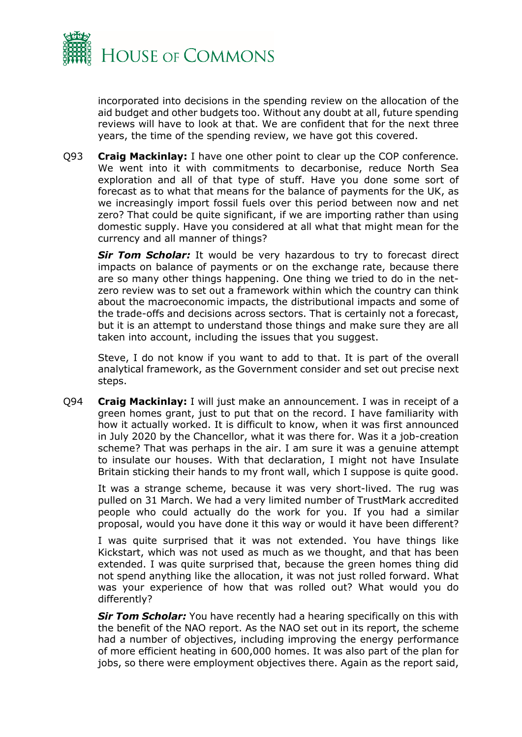

incorporated into decisions in the spending review on the allocation of the aid budget and other budgets too. Without any doubt at all, future spending reviews will have to look at that. We are confident that for the next three years, the time of the spending review, we have got this covered.

Q93 **Craig Mackinlay:** I have one other point to clear up the COP conference. We went into it with commitments to decarbonise, reduce North Sea exploration and all of that type of stuff. Have you done some sort of forecast as to what that means for the balance of payments for the UK, as we increasingly import fossil fuels over this period between now and net zero? That could be quite significant, if we are importing rather than using domestic supply. Have you considered at all what that might mean for the currency and all manner of things?

**Sir Tom Scholar:** It would be very hazardous to try to forecast direct impacts on balance of payments or on the exchange rate, because there are so many other things happening. One thing we tried to do in the netzero review was to set out a framework within which the country can think about the macroeconomic impacts, the distributional impacts and some of the trade-offs and decisions across sectors. That is certainly not a forecast, but it is an attempt to understand those things and make sure they are all taken into account, including the issues that you suggest.

Steve, I do not know if you want to add to that. It is part of the overall analytical framework, as the Government consider and set out precise next steps.

Q94 **Craig Mackinlay:** I will just make an announcement. I was in receipt of a green homes grant, just to put that on the record. I have familiarity with how it actually worked. It is difficult to know, when it was first announced in July 2020 by the Chancellor, what it was there for. Was it a job-creation scheme? That was perhaps in the air. I am sure it was a genuine attempt to insulate our houses. With that declaration, I might not have Insulate Britain sticking their hands to my front wall, which I suppose is quite good.

It was a strange scheme, because it was very short-lived. The rug was pulled on 31 March. We had a very limited number of TrustMark accredited people who could actually do the work for you. If you had a similar proposal, would you have done it this way or would it have been different?

I was quite surprised that it was not extended. You have things like Kickstart, which was not used as much as we thought, and that has been extended. I was quite surprised that, because the green homes thing did not spend anything like the allocation, it was not just rolled forward. What was your experience of how that was rolled out? What would you do differently?

*Sir Tom Scholar:* You have recently had a hearing specifically on this with the benefit of the NAO report. As the NAO set out in its report, the scheme had a number of objectives, including improving the energy performance of more efficient heating in 600,000 homes. It was also part of the plan for jobs, so there were employment objectives there. Again as the report said,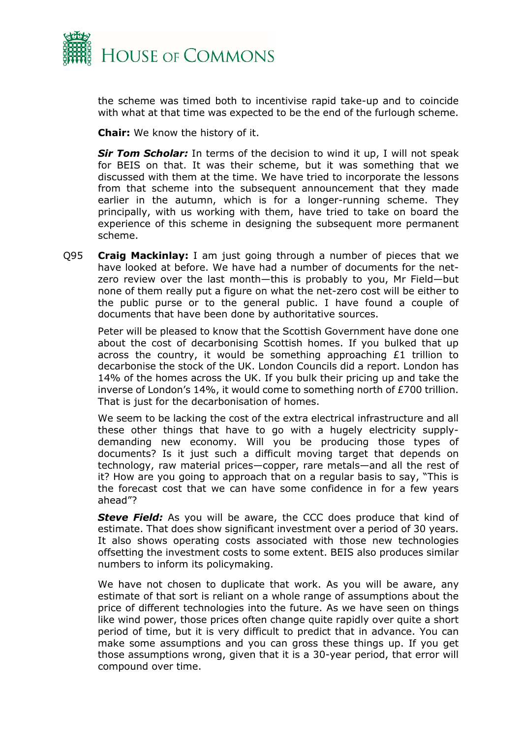

the scheme was timed both to incentivise rapid take-up and to coincide with what at that time was expected to be the end of the furlough scheme.

**Chair:** We know the history of it.

**Sir Tom Scholar:** In terms of the decision to wind it up, I will not speak for BEIS on that. It was their scheme, but it was something that we discussed with them at the time. We have tried to incorporate the lessons from that scheme into the subsequent announcement that they made earlier in the autumn, which is for a longer-running scheme. They principally, with us working with them, have tried to take on board the experience of this scheme in designing the subsequent more permanent scheme.

Q95 **Craig Mackinlay:** I am just going through a number of pieces that we have looked at before. We have had a number of documents for the netzero review over the last month—this is probably to you, Mr Field—but none of them really put a figure on what the net-zero cost will be either to the public purse or to the general public. I have found a couple of documents that have been done by authoritative sources.

Peter will be pleased to know that the Scottish Government have done one about the cost of decarbonising Scottish homes. If you bulked that up across the country, it would be something approaching £1 trillion to decarbonise the stock of the UK. London Councils did a report. London has 14% of the homes across the UK. If you bulk their pricing up and take the inverse of London's 14%, it would come to something north of £700 trillion. That is just for the decarbonisation of homes.

We seem to be lacking the cost of the extra electrical infrastructure and all these other things that have to go with a hugely electricity supplydemanding new economy. Will you be producing those types of documents? Is it just such a difficult moving target that depends on technology, raw material prices—copper, rare metals—and all the rest of it? How are you going to approach that on a regular basis to say, "This is the forecast cost that we can have some confidence in for a few years ahead"?

**Steve Field:** As you will be aware, the CCC does produce that kind of estimate. That does show significant investment over a period of 30 years. It also shows operating costs associated with those new technologies offsetting the investment costs to some extent. BEIS also produces similar numbers to inform its policymaking.

We have not chosen to duplicate that work. As you will be aware, any estimate of that sort is reliant on a whole range of assumptions about the price of different technologies into the future. As we have seen on things like wind power, those prices often change quite rapidly over quite a short period of time, but it is very difficult to predict that in advance. You can make some assumptions and you can gross these things up. If you get those assumptions wrong, given that it is a 30-year period, that error will compound over time.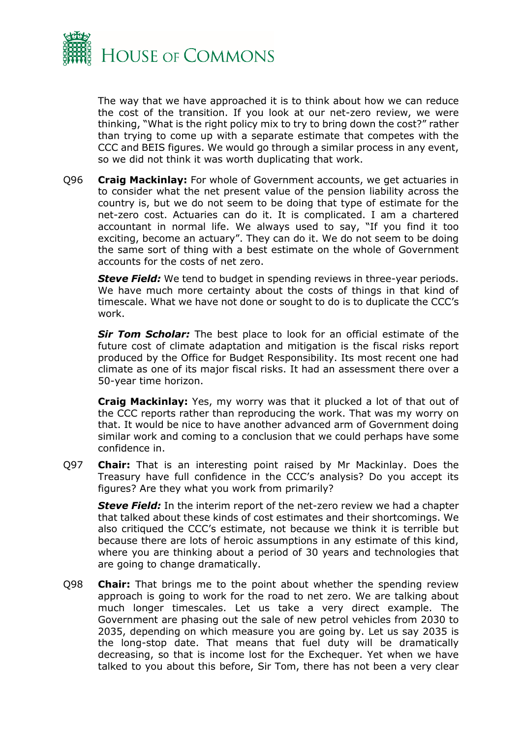

The way that we have approached it is to think about how we can reduce the cost of the transition. If you look at our net-zero review, we were thinking, "What is the right policy mix to try to bring down the cost?" rather than trying to come up with a separate estimate that competes with the CCC and BEIS figures. We would go through a similar process in any event, so we did not think it was worth duplicating that work.

Q96 **Craig Mackinlay:** For whole of Government accounts, we get actuaries in to consider what the net present value of the pension liability across the country is, but we do not seem to be doing that type of estimate for the net-zero cost. Actuaries can do it. It is complicated. I am a chartered accountant in normal life. We always used to say, "If you find it too exciting, become an actuary". They can do it. We do not seem to be doing the same sort of thing with a best estimate on the whole of Government accounts for the costs of net zero.

**Steve Field:** We tend to budget in spending reviews in three-year periods. We have much more certainty about the costs of things in that kind of timescale. What we have not done or sought to do is to duplicate the CCC's work.

*Sir Tom Scholar:* The best place to look for an official estimate of the future cost of climate adaptation and mitigation is the fiscal risks report produced by the Office for Budget Responsibility. Its most recent one had climate as one of its major fiscal risks. It had an assessment there over a 50-year time horizon.

**Craig Mackinlay:** Yes, my worry was that it plucked a lot of that out of the CCC reports rather than reproducing the work. That was my worry on that. It would be nice to have another advanced arm of Government doing similar work and coming to a conclusion that we could perhaps have some confidence in.

Q97 **Chair:** That is an interesting point raised by Mr Mackinlay. Does the Treasury have full confidence in the CCC's analysis? Do you accept its figures? Are they what you work from primarily?

*Steve Field:* In the interim report of the net-zero review we had a chapter that talked about these kinds of cost estimates and their shortcomings. We also critiqued the CCC's estimate, not because we think it is terrible but because there are lots of heroic assumptions in any estimate of this kind, where you are thinking about a period of 30 years and technologies that are going to change dramatically.

Q98 **Chair:** That brings me to the point about whether the spending review approach is going to work for the road to net zero. We are talking about much longer timescales. Let us take a very direct example. The Government are phasing out the sale of new petrol vehicles from 2030 to 2035, depending on which measure you are going by. Let us say 2035 is the long-stop date. That means that fuel duty will be dramatically decreasing, so that is income lost for the Exchequer. Yet when we have talked to you about this before, Sir Tom, there has not been a very clear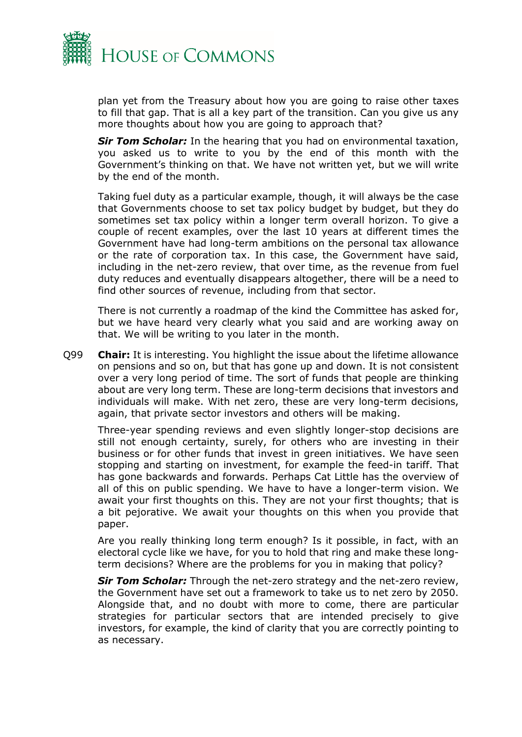

plan yet from the Treasury about how you are going to raise other taxes to fill that gap. That is all a key part of the transition. Can you give us any more thoughts about how you are going to approach that?

**Sir Tom Scholar:** In the hearing that you had on environmental taxation, you asked us to write to you by the end of this month with the Government's thinking on that. We have not written yet, but we will write by the end of the month.

Taking fuel duty as a particular example, though, it will always be the case that Governments choose to set tax policy budget by budget, but they do sometimes set tax policy within a longer term overall horizon. To give a couple of recent examples, over the last 10 years at different times the Government have had long-term ambitions on the personal tax allowance or the rate of corporation tax. In this case, the Government have said, including in the net-zero review, that over time, as the revenue from fuel duty reduces and eventually disappears altogether, there will be a need to find other sources of revenue, including from that sector.

There is not currently a roadmap of the kind the Committee has asked for, but we have heard very clearly what you said and are working away on that. We will be writing to you later in the month.

Q99 **Chair:** It is interesting. You highlight the issue about the lifetime allowance on pensions and so on, but that has gone up and down. It is not consistent over a very long period of time. The sort of funds that people are thinking about are very long term. These are long-term decisions that investors and individuals will make. With net zero, these are very long-term decisions, again, that private sector investors and others will be making.

Three-year spending reviews and even slightly longer-stop decisions are still not enough certainty, surely, for others who are investing in their business or for other funds that invest in green initiatives. We have seen stopping and starting on investment, for example the feed-in tariff. That has gone backwards and forwards. Perhaps Cat Little has the overview of all of this on public spending. We have to have a longer-term vision. We await your first thoughts on this. They are not your first thoughts; that is a bit pejorative. We await your thoughts on this when you provide that paper.

Are you really thinking long term enough? Is it possible, in fact, with an electoral cycle like we have, for you to hold that ring and make these longterm decisions? Where are the problems for you in making that policy?

*Sir Tom Scholar:* Through the net-zero strategy and the net-zero review, the Government have set out a framework to take us to net zero by 2050. Alongside that, and no doubt with more to come, there are particular strategies for particular sectors that are intended precisely to give investors, for example, the kind of clarity that you are correctly pointing to as necessary.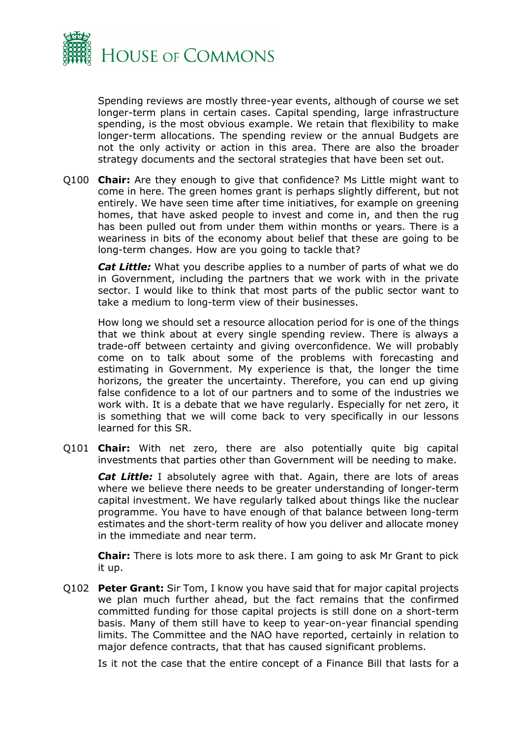

Spending reviews are mostly three-year events, although of course we set longer-term plans in certain cases. Capital spending, large infrastructure spending, is the most obvious example. We retain that flexibility to make longer-term allocations. The spending review or the annual Budgets are not the only activity or action in this area. There are also the broader strategy documents and the sectoral strategies that have been set out.

Q100 **Chair:** Are they enough to give that confidence? Ms Little might want to come in here. The green homes grant is perhaps slightly different, but not entirely. We have seen time after time initiatives, for example on greening homes, that have asked people to invest and come in, and then the rug has been pulled out from under them within months or years. There is a weariness in bits of the economy about belief that these are going to be long-term changes. How are you going to tackle that?

*Cat Little:* What you describe applies to a number of parts of what we do in Government, including the partners that we work with in the private sector. I would like to think that most parts of the public sector want to take a medium to long-term view of their businesses.

How long we should set a resource allocation period for is one of the things that we think about at every single spending review. There is always a trade-off between certainty and giving overconfidence. We will probably come on to talk about some of the problems with forecasting and estimating in Government. My experience is that, the longer the time horizons, the greater the uncertainty. Therefore, you can end up giving false confidence to a lot of our partners and to some of the industries we work with. It is a debate that we have regularly. Especially for net zero, it is something that we will come back to very specifically in our lessons learned for this SR.

Q101 **Chair:** With net zero, there are also potentially quite big capital investments that parties other than Government will be needing to make.

*Cat Little:* I absolutely agree with that. Again, there are lots of areas where we believe there needs to be greater understanding of longer-term capital investment. We have regularly talked about things like the nuclear programme. You have to have enough of that balance between long-term estimates and the short-term reality of how you deliver and allocate money in the immediate and near term.

**Chair:** There is lots more to ask there. I am going to ask Mr Grant to pick it up.

Q102 **Peter Grant:** Sir Tom, I know you have said that for major capital projects we plan much further ahead, but the fact remains that the confirmed committed funding for those capital projects is still done on a short-term basis. Many of them still have to keep to year-on-year financial spending limits. The Committee and the NAO have reported, certainly in relation to major defence contracts, that that has caused significant problems.

Is it not the case that the entire concept of a Finance Bill that lasts for a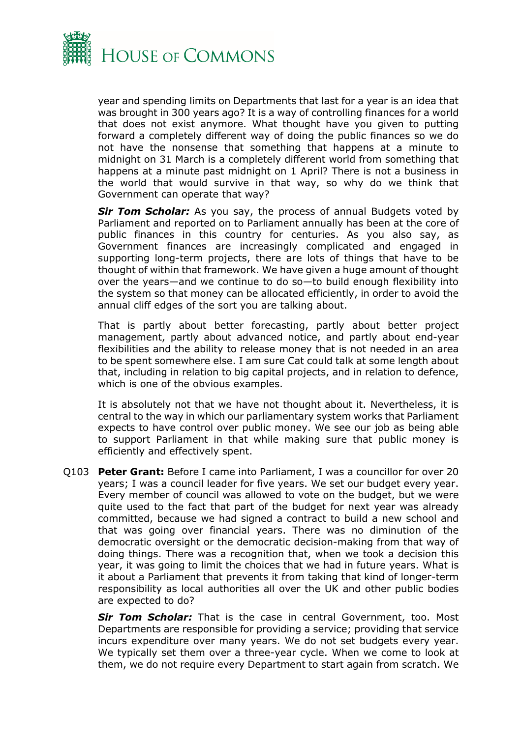

year and spending limits on Departments that last for a year is an idea that was brought in 300 years ago? It is a way of controlling finances for a world that does not exist anymore. What thought have you given to putting forward a completely different way of doing the public finances so we do not have the nonsense that something that happens at a minute to midnight on 31 March is a completely different world from something that happens at a minute past midnight on 1 April? There is not a business in the world that would survive in that way, so why do we think that Government can operate that way?

**Sir Tom Scholar:** As you say, the process of annual Budgets voted by Parliament and reported on to Parliament annually has been at the core of public finances in this country for centuries. As you also say, as Government finances are increasingly complicated and engaged in supporting long-term projects, there are lots of things that have to be thought of within that framework. We have given a huge amount of thought over the years—and we continue to do so—to build enough flexibility into the system so that money can be allocated efficiently, in order to avoid the annual cliff edges of the sort you are talking about.

That is partly about better forecasting, partly about better project management, partly about advanced notice, and partly about end-year flexibilities and the ability to release money that is not needed in an area to be spent somewhere else. I am sure Cat could talk at some length about that, including in relation to big capital projects, and in relation to defence, which is one of the obvious examples.

It is absolutely not that we have not thought about it. Nevertheless, it is central to the way in which our parliamentary system works that Parliament expects to have control over public money. We see our job as being able to support Parliament in that while making sure that public money is efficiently and effectively spent.

Q103 **Peter Grant:** Before I came into Parliament, I was a councillor for over 20 years; I was a council leader for five years. We set our budget every year. Every member of council was allowed to vote on the budget, but we were quite used to the fact that part of the budget for next year was already committed, because we had signed a contract to build a new school and that was going over financial years. There was no diminution of the democratic oversight or the democratic decision-making from that way of doing things. There was a recognition that, when we took a decision this year, it was going to limit the choices that we had in future years. What is it about a Parliament that prevents it from taking that kind of longer-term responsibility as local authorities all over the UK and other public bodies are expected to do?

**Sir Tom Scholar:** That is the case in central Government, too. Most Departments are responsible for providing a service; providing that service incurs expenditure over many years. We do not set budgets every year. We typically set them over a three-year cycle. When we come to look at them, we do not require every Department to start again from scratch. We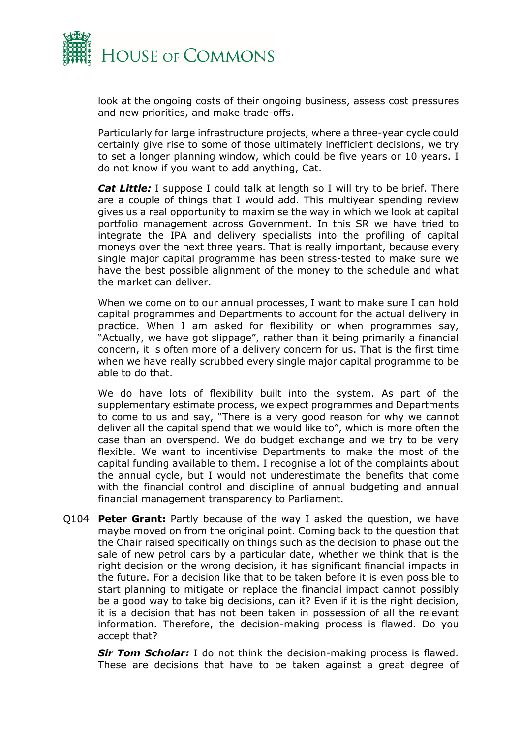

look at the ongoing costs of their ongoing business, assess cost pressures and new priorities, and make trade-offs.

Particularly for large infrastructure projects, where a three-year cycle could certainly give rise to some of those ultimately inefficient decisions, we try to set a longer planning window, which could be five years or 10 years. I do not know if you want to add anything, Cat.

*Cat Little:* I suppose I could talk at length so I will try to be brief. There are a couple of things that I would add. This multiyear spending review gives us a real opportunity to maximise the way in which we look at capital portfolio management across Government. In this SR we have tried to integrate the IPA and delivery specialists into the profiling of capital moneys over the next three years. That is really important, because every single major capital programme has been stress-tested to make sure we have the best possible alignment of the money to the schedule and what the market can deliver.

When we come on to our annual processes, I want to make sure I can hold capital programmes and Departments to account for the actual delivery in practice. When I am asked for flexibility or when programmes say, "Actually, we have got slippage", rather than it being primarily a financial concern, it is often more of a delivery concern for us. That is the first time when we have really scrubbed every single major capital programme to be able to do that.

We do have lots of flexibility built into the system. As part of the supplementary estimate process, we expect programmes and Departments to come to us and say, "There is a very good reason for why we cannot deliver all the capital spend that we would like to", which is more often the case than an overspend. We do budget exchange and we try to be very flexible. We want to incentivise Departments to make the most of the capital funding available to them. I recognise a lot of the complaints about the annual cycle, but I would not underestimate the benefits that come with the financial control and discipline of annual budgeting and annual financial management transparency to Parliament.

Q104 **Peter Grant:** Partly because of the way I asked the question, we have maybe moved on from the original point. Coming back to the question that the Chair raised specifically on things such as the decision to phase out the sale of new petrol cars by a particular date, whether we think that is the right decision or the wrong decision, it has significant financial impacts in the future. For a decision like that to be taken before it is even possible to start planning to mitigate or replace the financial impact cannot possibly be a good way to take big decisions, can it? Even if it is the right decision, it is a decision that has not been taken in possession of all the relevant information. Therefore, the decision-making process is flawed. Do you accept that?

**Sir Tom Scholar:** I do not think the decision-making process is flawed. These are decisions that have to be taken against a great degree of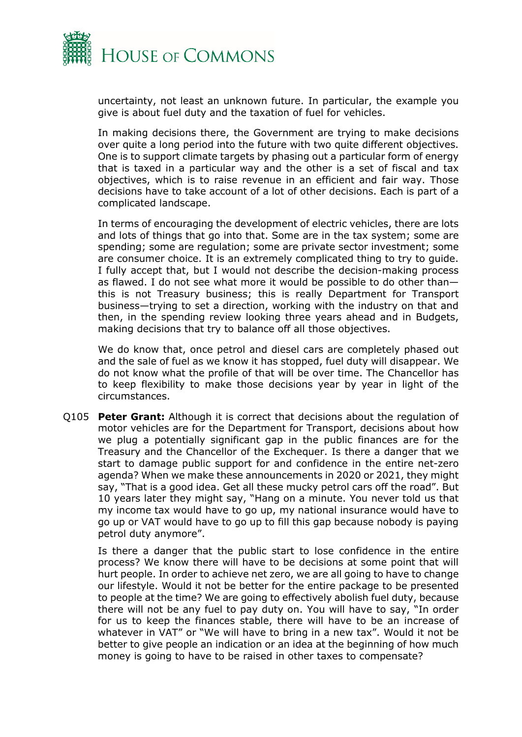

uncertainty, not least an unknown future. In particular, the example you give is about fuel duty and the taxation of fuel for vehicles.

In making decisions there, the Government are trying to make decisions over quite a long period into the future with two quite different objectives. One is to support climate targets by phasing out a particular form of energy that is taxed in a particular way and the other is a set of fiscal and tax objectives, which is to raise revenue in an efficient and fair way. Those decisions have to take account of a lot of other decisions. Each is part of a complicated landscape.

In terms of encouraging the development of electric vehicles, there are lots and lots of things that go into that. Some are in the tax system; some are spending; some are regulation; some are private sector investment; some are consumer choice. It is an extremely complicated thing to try to guide. I fully accept that, but I would not describe the decision-making process as flawed. I do not see what more it would be possible to do other than this is not Treasury business; this is really Department for Transport business—trying to set a direction, working with the industry on that and then, in the spending review looking three years ahead and in Budgets, making decisions that try to balance off all those objectives.

We do know that, once petrol and diesel cars are completely phased out and the sale of fuel as we know it has stopped, fuel duty will disappear. We do not know what the profile of that will be over time. The Chancellor has to keep flexibility to make those decisions year by year in light of the circumstances.

Q105 **Peter Grant:** Although it is correct that decisions about the regulation of motor vehicles are for the Department for Transport, decisions about how we plug a potentially significant gap in the public finances are for the Treasury and the Chancellor of the Exchequer. Is there a danger that we start to damage public support for and confidence in the entire net-zero agenda? When we make these announcements in 2020 or 2021, they might say, "That is a good idea. Get all these mucky petrol cars off the road". But 10 years later they might say, "Hang on a minute. You never told us that my income tax would have to go up, my national insurance would have to go up or VAT would have to go up to fill this gap because nobody is paying petrol duty anymore".

Is there a danger that the public start to lose confidence in the entire process? We know there will have to be decisions at some point that will hurt people. In order to achieve net zero, we are all going to have to change our lifestyle. Would it not be better for the entire package to be presented to people at the time? We are going to effectively abolish fuel duty, because there will not be any fuel to pay duty on. You will have to say, "In order for us to keep the finances stable, there will have to be an increase of whatever in VAT" or "We will have to bring in a new tax". Would it not be better to give people an indication or an idea at the beginning of how much money is going to have to be raised in other taxes to compensate?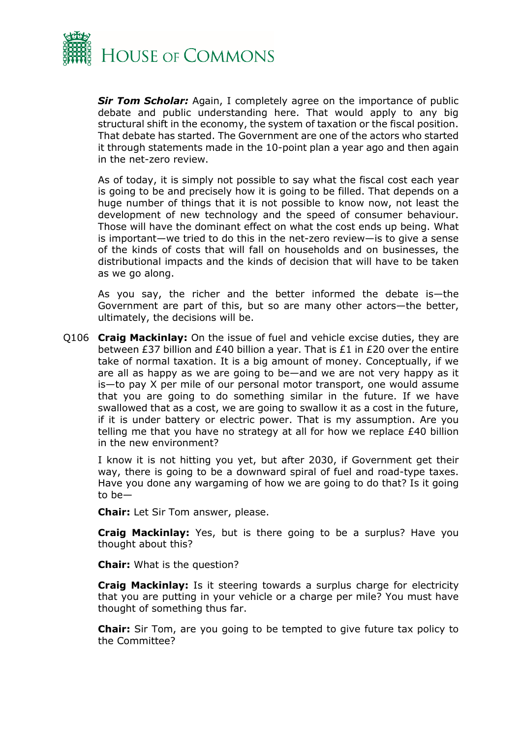

**Sir Tom Scholar:** Again, I completely agree on the importance of public debate and public understanding here. That would apply to any big structural shift in the economy, the system of taxation or the fiscal position. That debate has started. The Government are one of the actors who started it through statements made in the 10-point plan a year ago and then again in the net-zero review.

As of today, it is simply not possible to say what the fiscal cost each year is going to be and precisely how it is going to be filled. That depends on a huge number of things that it is not possible to know now, not least the development of new technology and the speed of consumer behaviour. Those will have the dominant effect on what the cost ends up being. What is important—we tried to do this in the net-zero review—is to give a sense of the kinds of costs that will fall on households and on businesses, the distributional impacts and the kinds of decision that will have to be taken as we go along.

As you say, the richer and the better informed the debate is—the Government are part of this, but so are many other actors—the better, ultimately, the decisions will be.

Q106 **Craig Mackinlay:** On the issue of fuel and vehicle excise duties, they are between £37 billion and £40 billion a year. That is £1 in £20 over the entire take of normal taxation. It is a big amount of money. Conceptually, if we are all as happy as we are going to be—and we are not very happy as it is—to pay X per mile of our personal motor transport, one would assume that you are going to do something similar in the future. If we have swallowed that as a cost, we are going to swallow it as a cost in the future, if it is under battery or electric power. That is my assumption. Are you telling me that you have no strategy at all for how we replace  $E40$  billion in the new environment?

I know it is not hitting you yet, but after 2030, if Government get their way, there is going to be a downward spiral of fuel and road-type taxes. Have you done any wargaming of how we are going to do that? Is it going to be—

**Chair:** Let Sir Tom answer, please.

**Craig Mackinlay:** Yes, but is there going to be a surplus? Have you thought about this?

**Chair:** What is the question?

**Craig Mackinlay:** Is it steering towards a surplus charge for electricity that you are putting in your vehicle or a charge per mile? You must have thought of something thus far.

**Chair:** Sir Tom, are you going to be tempted to give future tax policy to the Committee?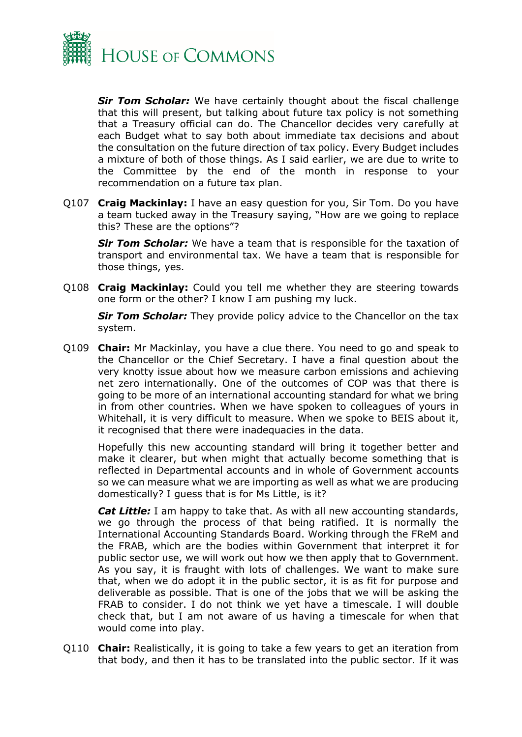

*Sir Tom Scholar:* We have certainly thought about the fiscal challenge that this will present, but talking about future tax policy is not something that a Treasury official can do. The Chancellor decides very carefully at each Budget what to say both about immediate tax decisions and about the consultation on the future direction of tax policy. Every Budget includes a mixture of both of those things. As I said earlier, we are due to write to the Committee by the end of the month in response to your recommendation on a future tax plan.

Q107 **Craig Mackinlay:** I have an easy question for you, Sir Tom. Do you have a team tucked away in the Treasury saying, "How are we going to replace this? These are the options"?

*Sir Tom Scholar:* We have a team that is responsible for the taxation of transport and environmental tax. We have a team that is responsible for those things, yes.

Q108 **Craig Mackinlay:** Could you tell me whether they are steering towards one form or the other? I know I am pushing my luck.

**Sir Tom Scholar:** They provide policy advice to the Chancellor on the tax system.

Q109 **Chair:** Mr Mackinlay, you have a clue there. You need to go and speak to the Chancellor or the Chief Secretary. I have a final question about the very knotty issue about how we measure carbon emissions and achieving net zero internationally. One of the outcomes of COP was that there is going to be more of an international accounting standard for what we bring in from other countries. When we have spoken to colleagues of yours in Whitehall, it is very difficult to measure. When we spoke to BEIS about it, it recognised that there were inadequacies in the data.

Hopefully this new accounting standard will bring it together better and make it clearer, but when might that actually become something that is reflected in Departmental accounts and in whole of Government accounts so we can measure what we are importing as well as what we are producing domestically? I guess that is for Ms Little, is it?

*Cat Little:* I am happy to take that. As with all new accounting standards, we go through the process of that being ratified. It is normally the International Accounting Standards Board. Working through the FReM and the FRAB, which are the bodies within Government that interpret it for public sector use, we will work out how we then apply that to Government. As you say, it is fraught with lots of challenges. We want to make sure that, when we do adopt it in the public sector, it is as fit for purpose and deliverable as possible. That is one of the jobs that we will be asking the FRAB to consider. I do not think we yet have a timescale. I will double check that, but I am not aware of us having a timescale for when that would come into play.

Q110 **Chair:** Realistically, it is going to take a few years to get an iteration from that body, and then it has to be translated into the public sector. If it was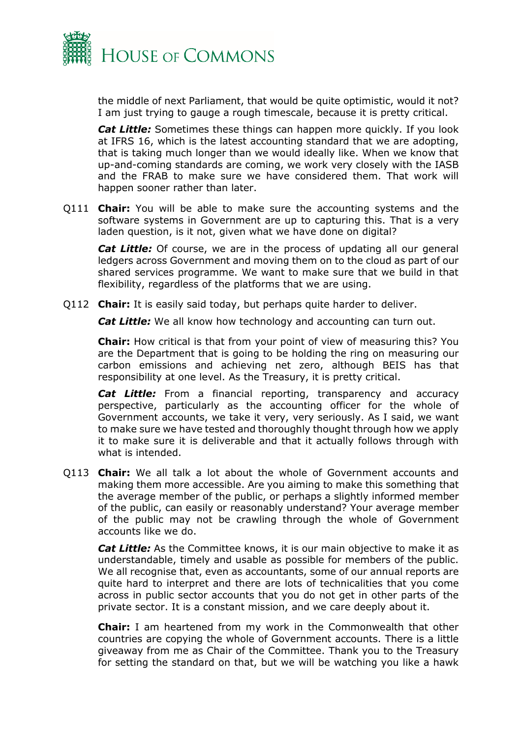

the middle of next Parliament, that would be quite optimistic, would it not? I am just trying to gauge a rough timescale, because it is pretty critical.

*Cat Little:* Sometimes these things can happen more quickly. If you look at IFRS 16, which is the latest accounting standard that we are adopting, that is taking much longer than we would ideally like. When we know that up-and-coming standards are coming, we work very closely with the IASB and the FRAB to make sure we have considered them. That work will happen sooner rather than later.

Q111 **Chair:** You will be able to make sure the accounting systems and the software systems in Government are up to capturing this. That is a very laden question, is it not, given what we have done on digital?

*Cat Little:* Of course, we are in the process of updating all our general ledgers across Government and moving them on to the cloud as part of our shared services programme. We want to make sure that we build in that flexibility, regardless of the platforms that we are using.

Q112 **Chair:** It is easily said today, but perhaps quite harder to deliver.

*Cat Little:* We all know how technology and accounting can turn out.

**Chair:** How critical is that from your point of view of measuring this? You are the Department that is going to be holding the ring on measuring our carbon emissions and achieving net zero, although BEIS has that responsibility at one level. As the Treasury, it is pretty critical.

*Cat Little:* From a financial reporting, transparency and accuracy perspective, particularly as the accounting officer for the whole of Government accounts, we take it very, very seriously. As I said, we want to make sure we have tested and thoroughly thought through how we apply it to make sure it is deliverable and that it actually follows through with what is intended.

Q113 **Chair:** We all talk a lot about the whole of Government accounts and making them more accessible. Are you aiming to make this something that the average member of the public, or perhaps a slightly informed member of the public, can easily or reasonably understand? Your average member of the public may not be crawling through the whole of Government accounts like we do.

*Cat Little:* As the Committee knows, it is our main objective to make it as understandable, timely and usable as possible for members of the public. We all recognise that, even as accountants, some of our annual reports are quite hard to interpret and there are lots of technicalities that you come across in public sector accounts that you do not get in other parts of the private sector. It is a constant mission, and we care deeply about it.

**Chair:** I am heartened from my work in the Commonwealth that other countries are copying the whole of Government accounts. There is a little giveaway from me as Chair of the Committee. Thank you to the Treasury for setting the standard on that, but we will be watching you like a hawk